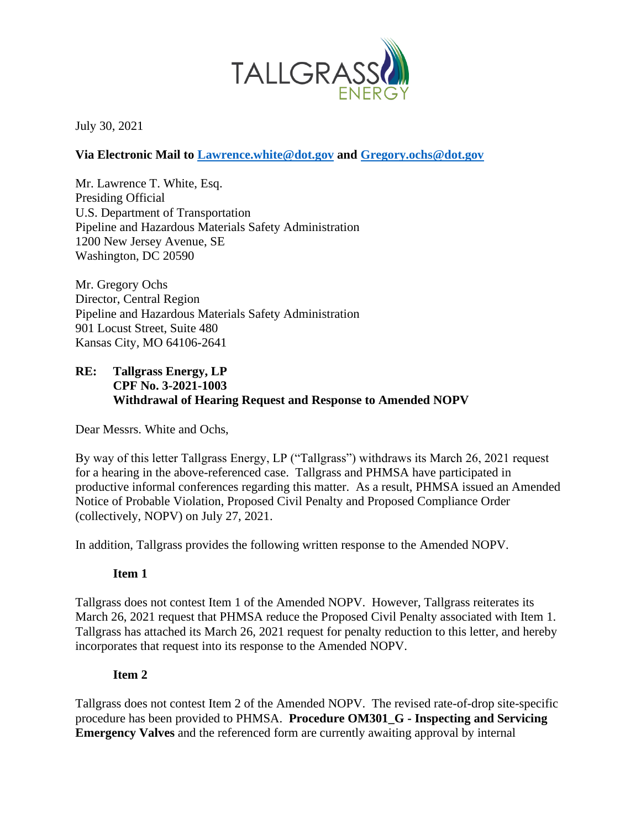

July 30, 2021

## **Via Electronic Mail to Lawrence.white@dot.gov and Gregory.ochs@dot.gov**

Mr. Lawrence T. White, Esq. Presiding Official U.S. Department of Transportation Pipeline and Hazardous Materials Safety Administration 1200 New Jersey Avenue, SE Washington, DC 20590

Mr. Gregory Ochs Director, Central Region Pipeline and Hazardous Materials Safety Administration 901 Locust Street, Suite 480 Kansas City, MO 64106-2641

## **RE: Tallgrass Energy, LP CPF No. 3-2021-1003 Withdrawal of Hearing Request and Response to Amended NOPV**

Dear Messrs. White and Ochs,

By way of this letter Tallgrass Energy, LP ("Tallgrass") withdraws its March 26, 2021 request for a hearing in the above-referenced case. Tallgrass and PHMSA have participated in productive informal conferences regarding this matter. As a result, PHMSA issued an Amended Notice of Probable Violation, Proposed Civil Penalty and Proposed Compliance Order (collectively, NOPV) on July 27, 2021.

In addition, Tallgrass provides the following written response to the Amended NOPV.

## **Item 1**

Tallgrass does not contest Item 1 of the Amended NOPV. However, Tallgrass reiterates its March 26, 2021 request that PHMSA reduce the Proposed Civil Penalty associated with Item 1. Tallgrass has attached its March 26, 2021 request for penalty reduction to this letter, and hereby incorporates that request into its response to the Amended NOPV.

## **Item 2**

Tallgrass does not contest Item 2 of the Amended NOPV. The revised rate-of-drop site-specific procedure has been provided to PHMSA. **Procedure OM301\_G - Inspecting and Servicing Emergency Valves** and the referenced form are currently awaiting approval by internal